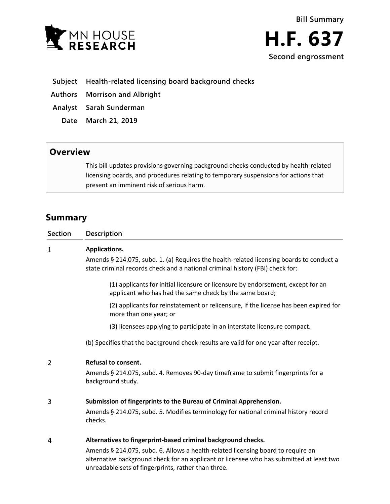



- **Subject Health-related licensing board background checks**
- **Authors Morrison and Albright**
- **Analyst Sarah Sunderman**
- **Date March 21, 2019**

## **Overview**

This bill updates provisions governing background checks conducted by health-related licensing boards, and procedures relating to temporary suspensions for actions that present an imminent risk of serious harm.

## **Summary**

| <b>Section</b> | <b>Description</b>                                                                                                                                                                                                                  |
|----------------|-------------------------------------------------------------------------------------------------------------------------------------------------------------------------------------------------------------------------------------|
| 1              | Applications.                                                                                                                                                                                                                       |
|                | Amends § 214.075, subd. 1. (a) Requires the health-related licensing boards to conduct a<br>state criminal records check and a national criminal history (FBI) check for:                                                           |
|                | (1) applicants for initial licensure or licensure by endorsement, except for an<br>applicant who has had the same check by the same board;                                                                                          |
|                | (2) applicants for reinstatement or relicensure, if the license has been expired for<br>more than one year; or                                                                                                                      |
|                | (3) licensees applying to participate in an interstate licensure compact.                                                                                                                                                           |
|                | (b) Specifies that the background check results are valid for one year after receipt.                                                                                                                                               |
| 2              | <b>Refusal to consent.</b>                                                                                                                                                                                                          |
|                | Amends § 214.075, subd. 4. Removes 90-day timeframe to submit fingerprints for a<br>background study.                                                                                                                               |
| 3              | Submission of fingerprints to the Bureau of Criminal Apprehension.                                                                                                                                                                  |
|                | Amends § 214.075, subd. 5. Modifies terminology for national criminal history record<br>checks.                                                                                                                                     |
| 4              | Alternatives to fingerprint-based criminal background checks.                                                                                                                                                                       |
|                | Amends § 214.075, subd. 6. Allows a health-related licensing board to require an<br>alternative background check for an applicant or licensee who has submitted at least two<br>unreadable sets of fingerprints, rather than three. |